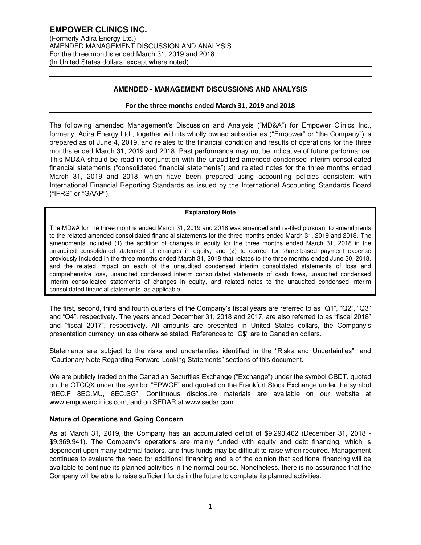# **AMENDED - MANAGEMENT DISCUSSIONS AND ANALYSIS**

### **For the three months ended March 31, 2019 and 2018**

The following amended Management's Discussion and Analysis ("MD&A") for Empower Clinics Inc., formerly, Adira Energy Ltd., together with its wholly owned subsidiaries ("Empower" or "the Company") is prepared as of June 4, 2019, and relates to the financial condition and results of operations for the three months ended March 31, 2019 and 2018. Past performance may not be indicative of future performance. This MD&A should be read in conjunction with the unaudited amended condensed interim consolidated financial statements ("consolidated financial statements") and related notes for the three months ended March 31, 2019 and 2018, which have been prepared using accounting policies consistent with International Financial Reporting Standards as issued by the International Accounting Standards Board ("IFRS" or "GAAP").

#### **Explanatory Note**

The MD&A for the three months ended March 31, 2019 and 2018 was amended and re-filed pursuant to amendments to the related amended consolidated financial statements for the three months ended March 31, 2019 and 2018. The amendments included (1) the addition of changes in equity for the three months ended March 31, 2018 in the unaudited consolidated statement of changes in equity, and (2) to correct for share-based payment expense previously included in the three months ended March 31, 2018 that relates to the three months ended June 30, 2018, and the related impact on each of the unaudited condensed interim consolidated statements of loss and comprehensive loss, unaudited condensed interim consolidated statements of cash flows, unaudited condensed interim consolidated statements of changes in equity, and related notes to the unaudited condensed interim consolidated financial statements, as applicable.

The first, second, third and fourth quarters of the Company's fiscal years are referred to as "Q1", "Q2", "Q3" and "Q4", respectively. The years ended December 31, 2018 and 2017, are also referred to as "fiscal 2018" and "fiscal 2017", respectively. All amounts are presented in United States dollars, the Company's presentation currency, unless otherwise stated. References to "C\$" are to Canadian dollars.

Statements are subject to the risks and uncertainties identified in the "Risks and Uncertainties", and "Cautionary Note Regarding Forward-Looking Statements" sections of this document.

We are publicly traded on the Canadian Securities Exchange ("Exchange") under the symbol CBDT, quoted on the OTCQX under the symbol "EPWCF" and quoted on the Frankfurt Stock Exchange under the symbol "8EC.F 8EC.MU, 8EC.SG". Continuous disclosure materials are available on our website at www.empowerclinics.com, and on SEDAR at www.sedar.com.

### **Nature of Operations and Going Concern**

As at March 31, 2019, the Company has an accumulated deficit of \$9,293,462 (December 31, 2018 - \$9,369,941). The Company's operations are mainly funded with equity and debt financing, which is dependent upon many external factors, and thus funds may be difficult to raise when required. Management continues to evaluate the need for additional financing and is of the opinion that additional financing will be available to continue its planned activities in the normal course. Nonetheless, there is no assurance that the Company will be able to raise sufficient funds in the future to complete its planned activities.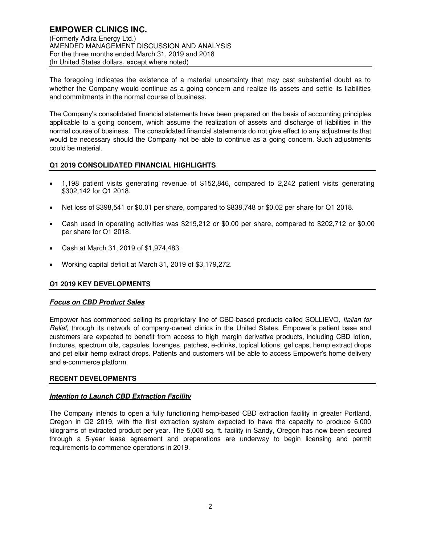The foregoing indicates the existence of a material uncertainty that may cast substantial doubt as to whether the Company would continue as a going concern and realize its assets and settle its liabilities and commitments in the normal course of business.

The Company's consolidated financial statements have been prepared on the basis of accounting principles applicable to a going concern, which assume the realization of assets and discharge of liabilities in the normal course of business. The consolidated financial statements do not give effect to any adjustments that would be necessary should the Company not be able to continue as a going concern. Such adjustments could be material.

# **Q1 2019 CONSOLIDATED FINANCIAL HIGHLIGHTS**

- 1,198 patient visits generating revenue of \$152,846, compared to 2,242 patient visits generating \$302,142 for Q1 2018.
- Net loss of \$398,541 or \$0.01 per share, compared to \$838,748 or \$0.02 per share for Q1 2018.
- Cash used in operating activities was \$219,212 or \$0.00 per share, compared to \$202,712 or \$0.00 per share for Q1 2018.
- Cash at March 31, 2019 of \$1,974,483.
- Working capital deficit at March 31, 2019 of \$3,179,272.

# **Q1 2019 KEY DEVELOPMENTS**

# **Focus on CBD Product Sales**

Empower has commenced selling its proprietary line of CBD-based products called SOLLIEVO, Italian for Relief, through its network of company-owned clinics in the United States. Empower's patient base and customers are expected to benefit from access to high margin derivative products, including CBD lotion, tinctures, spectrum oils, capsules, lozenges, patches, e-drinks, topical lotions, gel caps, hemp extract drops and pet elixir hemp extract drops. Patients and customers will be able to access Empower's home delivery and e-commerce platform.

### **RECENT DEVELOPMENTS**

# **Intention to Launch CBD Extraction Facility**

The Company intends to open a fully functioning hemp-based CBD extraction facility in greater Portland, Oregon in Q2 2019, with the first extraction system expected to have the capacity to produce 6,000 kilograms of extracted product per year. The 5,000 sq. ft. facility in Sandy, Oregon has now been secured through a 5-year lease agreement and preparations are underway to begin licensing and permit requirements to commence operations in 2019.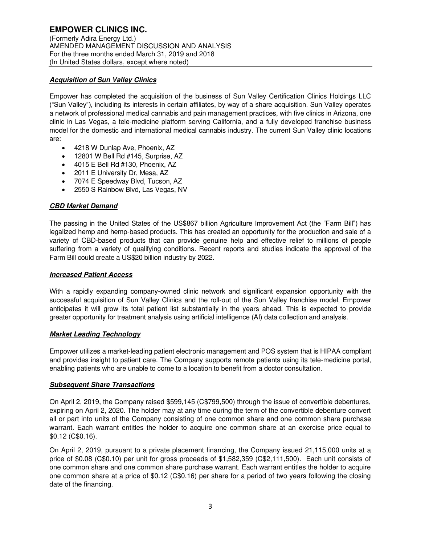# **Acquisition of Sun Valley Clinics**

Empower has completed the acquisition of the business of Sun Valley Certification Clinics Holdings LLC ("Sun Valley"), including its interests in certain affiliates, by way of a share acquisition. Sun Valley operates a network of professional medical cannabis and pain management practices, with five clinics in Arizona, one clinic in Las Vegas, a tele-medicine platform serving California, and a fully developed franchise business model for the domestic and international medical cannabis industry. The current Sun Valley clinic locations are:

- 4218 W Dunlap Ave, Phoenix, AZ
- 12801 W Bell Rd #145, Surprise, AZ
- 4015 E Bell Rd #130, Phoenix, AZ
- 2011 E University Dr, Mesa, AZ
- 7074 E Speedway Blvd, Tucson, AZ
- 2550 S Rainbow Blvd, Las Vegas, NV

# **CBD Market Demand**

The passing in the United States of the US\$867 billion Agriculture Improvement Act (the "Farm Bill") has legalized hemp and hemp-based products. This has created an opportunity for the production and sale of a variety of CBD-based products that can provide genuine help and effective relief to millions of people suffering from a variety of qualifying conditions. Recent reports and studies indicate the approval of the Farm Bill could create a US\$20 billion industry by 2022.

### **Increased Patient Access**

With a rapidly expanding company-owned clinic network and significant expansion opportunity with the successful acquisition of Sun Valley Clinics and the roll-out of the Sun Valley franchise model, Empower anticipates it will grow its total patient list substantially in the years ahead. This is expected to provide greater opportunity for treatment analysis using artificial intelligence (AI) data collection and analysis.

# **Market Leading Technology**

Empower utilizes a market-leading patient electronic management and POS system that is HIPAA compliant and provides insight to patient care. The Company supports remote patients using its tele-medicine portal, enabling patients who are unable to come to a location to benefit from a doctor consultation.

### **Subsequent Share Transactions**

On April 2, 2019, the Company raised \$599,145 (C\$799,500) through the issue of convertible debentures, expiring on April 2, 2020. The holder may at any time during the term of the convertible debenture convert all or part into units of the Company consisting of one common share and one common share purchase warrant. Each warrant entitles the holder to acquire one common share at an exercise price equal to \$0.12 (C\$0.16).

On April 2, 2019, pursuant to a private placement financing, the Company issued 21,115,000 units at a price of \$0.08 (C\$0.10) per unit for gross proceeds of \$1,582,359 (C\$2,111,500). Each unit consists of one common share and one common share purchase warrant. Each warrant entitles the holder to acquire one common share at a price of \$0.12 (C\$0.16) per share for a period of two years following the closing date of the financing.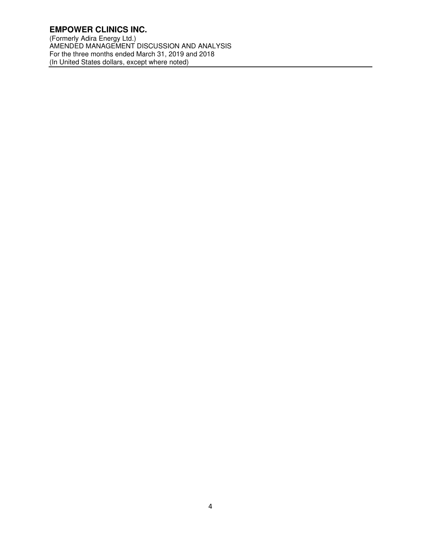# **EMPOWER CLINICS INC.**

(Formerly Adira Energy Ltd.) AMENDED MANAGEMENT DISCUSSION AND ANALYSIS For the three months ended March 31, 2019 and 2018 (In United States dollars, except where noted)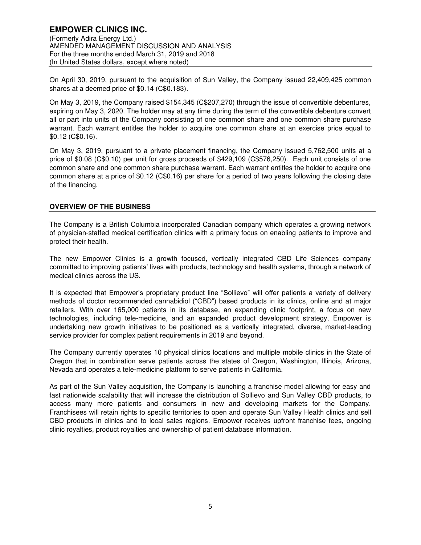On April 30, 2019, pursuant to the acquisition of Sun Valley, the Company issued 22,409,425 common shares at a deemed price of \$0.14 (C\$0.183).

On May 3, 2019, the Company raised \$154,345 (C\$207,270) through the issue of convertible debentures, expiring on May 3, 2020. The holder may at any time during the term of the convertible debenture convert all or part into units of the Company consisting of one common share and one common share purchase warrant. Each warrant entitles the holder to acquire one common share at an exercise price equal to \$0.12 (C\$0.16).

On May 3, 2019, pursuant to a private placement financing, the Company issued 5,762,500 units at a price of \$0.08 (C\$0.10) per unit for gross proceeds of \$429,109 (C\$576,250). Each unit consists of one common share and one common share purchase warrant. Each warrant entitles the holder to acquire one common share at a price of \$0.12 (C\$0.16) per share for a period of two years following the closing date of the financing.

# **OVERVIEW OF THE BUSINESS**

The Company is a British Columbia incorporated Canadian company which operates a growing network of physician-staffed medical certification clinics with a primary focus on enabling patients to improve and protect their health.

The new Empower Clinics is a growth focused, vertically integrated CBD Life Sciences company committed to improving patients' lives with products, technology and health systems, through a network of medical clinics across the US.

It is expected that Empower's proprietary product line "Sollievo" will offer patients a variety of delivery methods of doctor recommended cannabidiol ("CBD") based products in its clinics, online and at major retailers. With over 165,000 patients in its database, an expanding clinic footprint, a focus on new technologies, including tele-medicine, and an expanded product development strategy, Empower is undertaking new growth initiatives to be positioned as a vertically integrated, diverse, market-leading service provider for complex patient requirements in 2019 and beyond.

The Company currently operates 10 physical clinics locations and multiple mobile clinics in the State of Oregon that in combination serve patients across the states of Oregon, Washington, Illinois, Arizona, Nevada and operates a tele-medicine platform to serve patients in California.

As part of the Sun Valley acquisition, the Company is launching a franchise model allowing for easy and fast nationwide scalability that will increase the distribution of Sollievo and Sun Valley CBD products, to access many more patients and consumers in new and developing markets for the Company. Franchisees will retain rights to specific territories to open and operate Sun Valley Health clinics and sell CBD products in clinics and to local sales regions. Empower receives upfront franchise fees, ongoing clinic royalties, product royalties and ownership of patient database information.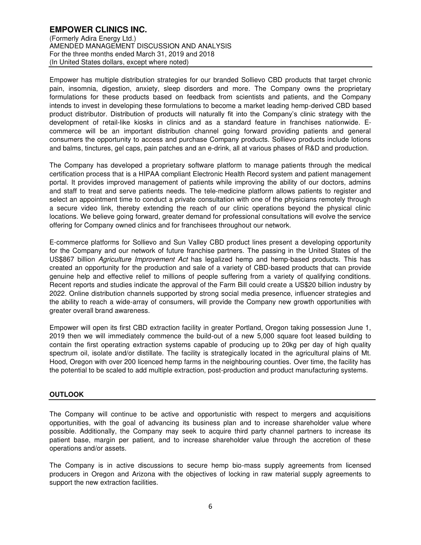# **EMPOWER CLINICS INC.**  (Formerly Adira Energy Ltd.) AMENDED MANAGEMENT DISCUSSION AND ANALYSIS For the three months ended March 31, 2019 and 2018 (In United States dollars, except where noted)

Empower has multiple distribution strategies for our branded Sollievo CBD products that target chronic pain, insomnia, digestion, anxiety, sleep disorders and more. The Company owns the proprietary formulations for these products based on feedback from scientists and patients, and the Company intends to invest in developing these formulations to become a market leading hemp-derived CBD based product distributor. Distribution of products will naturally fit into the Company's clinic strategy with the development of retail-like kiosks in clinics and as a standard feature in franchises nationwide. Ecommerce will be an important distribution channel going forward providing patients and general consumers the opportunity to access and purchase Company products. Sollievo products include lotions and balms, tinctures, gel caps, pain patches and an e-drink, all at various phases of R&D and production.

The Company has developed a proprietary software platform to manage patients through the medical certification process that is a HIPAA compliant Electronic Health Record system and patient management portal. It provides improved management of patients while improving the ability of our doctors, admins and staff to treat and serve patients needs. The tele-medicine platform allows patients to register and select an appointment time to conduct a private consultation with one of the physicians remotely through a secure video link, thereby extending the reach of our clinic operations beyond the physical clinic locations. We believe going forward, greater demand for professional consultations will evolve the service offering for Company owned clinics and for franchisees throughout our network.

E-commerce platforms for Sollievo and Sun Valley CBD product lines present a developing opportunity for the Company and our network of future franchise partners. The passing in the United States of the US\$867 billion Agriculture Improvement Act has legalized hemp and hemp-based products. This has created an opportunity for the production and sale of a variety of CBD-based products that can provide genuine help and effective relief to millions of people suffering from a variety of qualifying conditions. Recent reports and studies indicate the approval of the Farm Bill could create a US\$20 billion industry by 2022. Online distribution channels supported by strong social media presence, influencer strategies and the ability to reach a wide-array of consumers, will provide the Company new growth opportunities with greater overall brand awareness.

Empower will open its first CBD extraction facility in greater Portland, Oregon taking possession June 1, 2019 then we will immediately commence the build-out of a new 5,000 square foot leased building to contain the first operating extraction systems capable of producing up to 20kg per day of high quality spectrum oil, isolate and/or distillate. The facility is strategically located in the agricultural plains of Mt. Hood, Oregon with over 200 licenced hemp farms in the neighbouring counties. Over time, the facility has the potential to be scaled to add multiple extraction, post-production and product manufacturing systems.

# **OUTLOOK**

The Company will continue to be active and opportunistic with respect to mergers and acquisitions opportunities, with the goal of advancing its business plan and to increase shareholder value where possible. Additionally, the Company may seek to acquire third party channel partners to increase its patient base, margin per patient, and to increase shareholder value through the accretion of these operations and/or assets.

The Company is in active discussions to secure hemp bio-mass supply agreements from licensed producers in Oregon and Arizona with the objectives of locking in raw material supply agreements to support the new extraction facilities.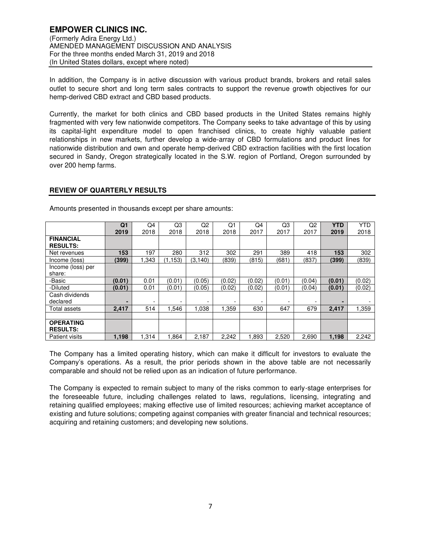## **EMPOWER CLINICS INC.**  (Formerly Adira Energy Ltd.) AMENDED MANAGEMENT DISCUSSION AND ANALYSIS For the three months ended March 31, 2019 and 2018 (In United States dollars, except where noted)

In addition, the Company is in active discussion with various product brands, brokers and retail sales outlet to secure short and long term sales contracts to support the revenue growth objectives for our hemp-derived CBD extract and CBD based products.

Currently, the market for both clinics and CBD based products in the United States remains highly fragmented with very few nationwide competitors. The Company seeks to take advantage of this by using its capital-light expenditure model to open franchised clinics, to create highly valuable patient relationships in new markets, further develop a wide-array of CBD formulations and product lines for nationwide distribution and own and operate hemp-derived CBD extraction facilities with the first location secured in Sandy, Oregon strategically located in the S.W. region of Portland, Oregon surrounded by over 200 hemp farms.

### **REVIEW OF QUARTERLY RESULTS**

|                       | Q <sub>1</sub><br>2019 | Q4<br>2018               | Q3<br>2018   | Q2<br>2018 | Q1<br>2018 | Q4<br>2017 | Q3<br>2017 | Q <sub>2</sub><br>2017 | <b>YTD</b><br>2019 | <b>YTD</b><br>2018 |
|-----------------------|------------------------|--------------------------|--------------|------------|------------|------------|------------|------------------------|--------------------|--------------------|
| <b>FINANCIAL</b>      |                        |                          |              |            |            |            |            |                        |                    |                    |
| <b>RESULTS:</b>       |                        |                          |              |            |            |            |            |                        |                    |                    |
| Net revenues          | 153                    | 197                      | 280          | 312        | 302        | 291        | 389        | 418                    | 153                | 302                |
| Income (loss)         | (399)                  | 1.343                    | .153)<br>(1. | (3, 140)   | (839)      | (815)      | (681)      | (837)                  | (399)              | (839)              |
| Income (loss) per     |                        |                          |              |            |            |            |            |                        |                    |                    |
| share:                |                        |                          |              |            |            |            |            |                        |                    |                    |
| -Basic                | (0.01)                 | 0.01                     | (0.01)       | (0.05)     | (0.02)     | (0.02)     | (0.01)     | (0.04)                 | (0.01)             | (0.02)             |
| -Diluted              | (0.01)                 | 0.01                     | (0.01)       | (0.05)     | (0.02)     | (0.02)     | (0.01)     | (0.04)                 | (0.01)             | (0.02)             |
| Cash dividends        |                        |                          |              |            |            |            |            |                        |                    |                    |
| declared              |                        | $\overline{\phantom{0}}$ |              |            |            |            |            | -                      |                    |                    |
| Total assets          | 2.417                  | 514                      | 1.546        | 1.038      | 1.359      | 630        | 647        | 679                    | 2.417              | 1,359              |
|                       |                        |                          |              |            |            |            |            |                        |                    |                    |
| <b>OPERATING</b>      |                        |                          |              |            |            |            |            |                        |                    |                    |
| <b>RESULTS:</b>       |                        |                          |              |            |            |            |            |                        |                    |                    |
| <b>Patient visits</b> | 1,198                  | 1,314                    | 1.864        | 2,187      | 2,242      | 1.893      | 2,520      | 2,690                  | 1.198              | 2,242              |

Amounts presented in thousands except per share amounts:

The Company has a limited operating history, which can make it difficult for investors to evaluate the Company's operations. As a result, the prior periods shown in the above table are not necessarily comparable and should not be relied upon as an indication of future performance.

The Company is expected to remain subject to many of the risks common to early-stage enterprises for the foreseeable future, including challenges related to laws, regulations, licensing, integrating and retaining qualified employees; making effective use of limited resources; achieving market acceptance of existing and future solutions; competing against companies with greater financial and technical resources; acquiring and retaining customers; and developing new solutions.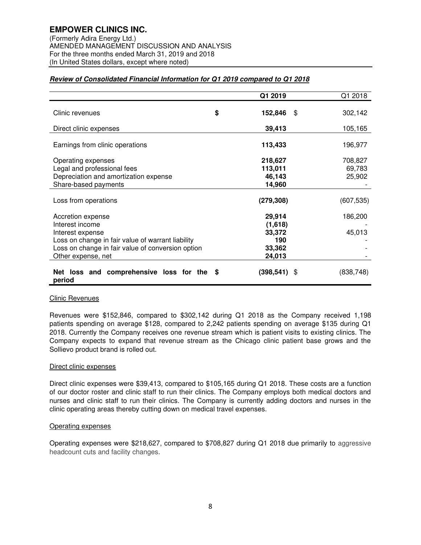(Formerly Adira Energy Ltd.) AMENDED MANAGEMENT DISCUSSION AND ANALYSIS For the three months ended March 31, 2019 and 2018 (In United States dollars, except where noted)

|                                                               | Q1 2019             | Q1 2018    |
|---------------------------------------------------------------|---------------------|------------|
| Clinic revenues                                               | \$<br>152,846<br>\$ | 302,142    |
| Direct clinic expenses                                        | 39,413              | 105,165    |
| Earnings from clinic operations                               | 113,433             | 196,977    |
| Operating expenses                                            | 218,627             | 708,827    |
| Legal and professional fees                                   | 113,011             | 69,783     |
| Depreciation and amortization expense<br>Share-based payments | 46,143<br>14,960    | 25,902     |
| Loss from operations                                          | (279, 308)          | (607, 535) |
| Accretion expense                                             | 29,914              | 186,200    |
| Interest income                                               | (1,618)             |            |
| Interest expense                                              | 33,372              | 45,013     |
| Loss on change in fair value of warrant liability             | 190                 |            |
| Loss on change in fair value of conversion option             | 33,362              |            |
| Other expense, net                                            | 24,013              |            |
| Net loss and comprehensive loss for the \$<br>period          | $(398, 541)$ \$     | (838, 748) |

# **Review of Consolidated Financial Information for Q1 2019 compared to Q1 2018**

### Clinic Revenues

Revenues were \$152,846, compared to \$302,142 during Q1 2018 as the Company received 1,198 patients spending on average \$128, compared to 2,242 patients spending on average \$135 during Q1 2018. Currently the Company receives one revenue stream which is patient visits to existing clinics. The Company expects to expand that revenue stream as the Chicago clinic patient base grows and the Sollievo product brand is rolled out.

### Direct clinic expenses

Direct clinic expenses were \$39,413, compared to \$105,165 during Q1 2018. These costs are a function of our doctor roster and clinic staff to run their clinics. The Company employs both medical doctors and nurses and clinic staff to run their clinics. The Company is currently adding doctors and nurses in the clinic operating areas thereby cutting down on medical travel expenses.

### Operating expenses

Operating expenses were \$218,627, compared to \$708,827 during Q1 2018 due primarily to aggressive headcount cuts and facility changes.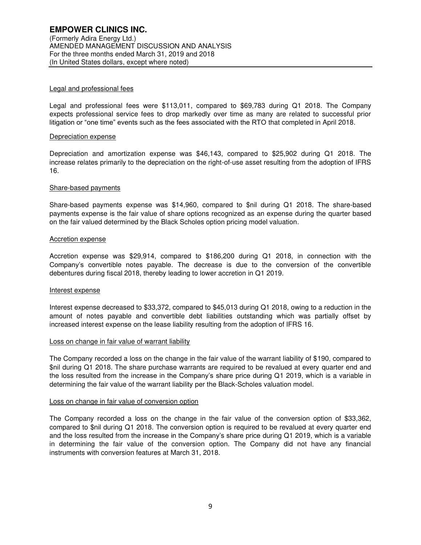#### Legal and professional fees

Legal and professional fees were \$113,011, compared to \$69,783 during Q1 2018. The Company expects professional service fees to drop markedly over time as many are related to successful prior litigation or "one time" events such as the fees associated with the RTO that completed in April 2018.

#### Depreciation expense

Depreciation and amortization expense was \$46,143, compared to \$25,902 during Q1 2018. The increase relates primarily to the depreciation on the right-of-use asset resulting from the adoption of IFRS 16.

#### Share-based payments

Share-based payments expense was \$14,960, compared to \$nil during Q1 2018. The share-based payments expense is the fair value of share options recognized as an expense during the quarter based on the fair valued determined by the Black Scholes option pricing model valuation.

#### Accretion expense

Accretion expense was \$29,914, compared to \$186,200 during Q1 2018, in connection with the Company's convertible notes payable. The decrease is due to the conversion of the convertible debentures during fiscal 2018, thereby leading to lower accretion in Q1 2019.

#### Interest expense

Interest expense decreased to \$33,372, compared to \$45,013 during Q1 2018, owing to a reduction in the amount of notes payable and convertible debt liabilities outstanding which was partially offset by increased interest expense on the lease liability resulting from the adoption of IFRS 16.

#### Loss on change in fair value of warrant liability

The Company recorded a loss on the change in the fair value of the warrant liability of \$190, compared to \$nil during Q1 2018. The share purchase warrants are required to be revalued at every quarter end and the loss resulted from the increase in the Company's share price during Q1 2019, which is a variable in determining the fair value of the warrant liability per the Black-Scholes valuation model.

#### Loss on change in fair value of conversion option

The Company recorded a loss on the change in the fair value of the conversion option of \$33,362, compared to \$nil during Q1 2018. The conversion option is required to be revalued at every quarter end and the loss resulted from the increase in the Company's share price during Q1 2019, which is a variable in determining the fair value of the conversion option. The Company did not have any financial instruments with conversion features at March 31, 2018.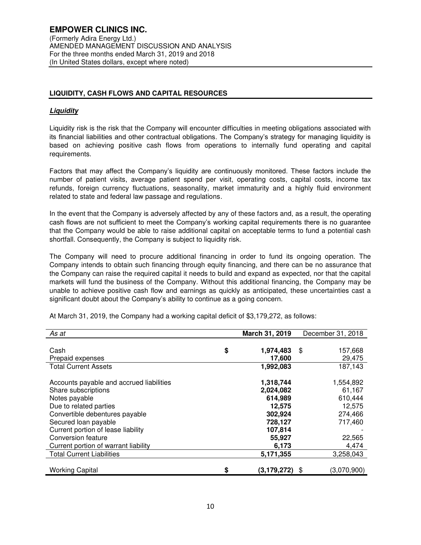# **LIQUIDITY, CASH FLOWS AND CAPITAL RESOURCES**

# **Liquidity**

Liquidity risk is the risk that the Company will encounter difficulties in meeting obligations associated with its financial liabilities and other contractual obligations. The Company's strategy for managing liquidity is based on achieving positive cash flows from operations to internally fund operating and capital requirements.

Factors that may affect the Company's liquidity are continuously monitored. These factors include the number of patient visits, average patient spend per visit, operating costs, capital costs, income tax refunds, foreign currency fluctuations, seasonality, market immaturity and a highly fluid environment related to state and federal law passage and regulations.

In the event that the Company is adversely affected by any of these factors and, as a result, the operating cash flows are not sufficient to meet the Company's working capital requirements there is no guarantee that the Company would be able to raise additional capital on acceptable terms to fund a potential cash shortfall. Consequently, the Company is subject to liquidity risk.

The Company will need to procure additional financing in order to fund its ongoing operation. The Company intends to obtain such financing through equity financing, and there can be no assurance that the Company can raise the required capital it needs to build and expand as expected, nor that the capital markets will fund the business of the Company. Without this additional financing, the Company may be unable to achieve positive cash flow and earnings as quickly as anticipated, these uncertainties cast a significant doubt about the Company's ability to continue as a going concern.

| As at                                    | March 31, 2019         | December 31, 2018 |
|------------------------------------------|------------------------|-------------------|
|                                          |                        |                   |
| Cash                                     | \$<br>1,974,483        | 157,668<br>-\$    |
| Prepaid expenses                         | 17,600                 | 29,475            |
| <b>Total Current Assets</b>              | 1,992,083              | 187,143           |
|                                          |                        |                   |
| Accounts payable and accrued liabilities | 1,318,744              | 1,554,892         |
| Share subscriptions                      | 2,024,082              | 61,167            |
| Notes payable                            | 614,989                | 610,444           |
| Due to related parties                   | 12,575                 | 12,575            |
| Convertible debentures payable           | 302,924                | 274,466           |
| Secured loan payable                     | 728,127                | 717,460           |
| Current portion of lease liability       | 107,814                |                   |
| Conversion feature                       | 55,927                 | 22,565            |
| Current portion of warrant liability     | 6,173                  | 4,474             |
| <b>Total Current Liabilities</b>         | 5,171,355              | 3,258,043         |
|                                          |                        |                   |
| <b>Working Capital</b>                   | \$<br>$(3,179,272)$ \$ | (3,070,900)       |

At March 31, 2019, the Company had a working capital deficit of \$3,179,272, as follows: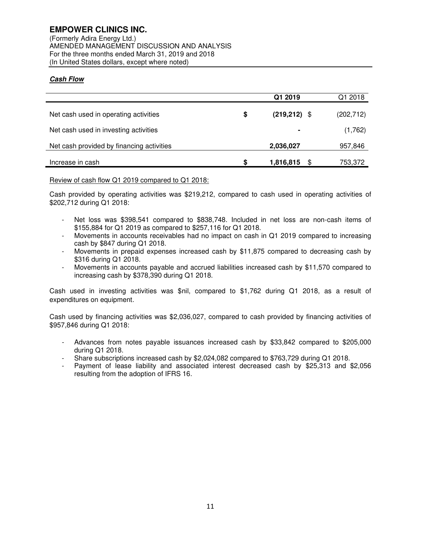(Formerly Adira Energy Ltd.) AMENDED MANAGEMENT DISCUSSION AND ANALYSIS For the three months ended March 31, 2019 and 2018 (In United States dollars, except where noted)

# **Cash Flow**

|                                           |    | Q1 2019         | Q1 2018    |
|-------------------------------------------|----|-----------------|------------|
| Net cash used in operating activities     | \$ | $(219, 212)$ \$ | (202, 712) |
| Net cash used in investing activities     |    | $\blacksquare$  | (1,762)    |
| Net cash provided by financing activities |    | 2,036,027       | 957,846    |
| Increase in cash                          | S  | 1,816,815       | 753,372    |

# Review of cash flow Q1 2019 compared to Q1 2018:

Cash provided by operating activities was \$219,212, compared to cash used in operating activities of \$202,712 during Q1 2018:

- Net loss was \$398,541 compared to \$838,748. Included in net loss are non-cash items of \$155,884 for Q1 2019 as compared to \$257,116 for Q1 2018.
- Movements in accounts receivables had no impact on cash in Q1 2019 compared to increasing cash by \$847 during Q1 2018.
- Movements in prepaid expenses increased cash by \$11,875 compared to decreasing cash by \$316 during Q1 2018.
- Movements in accounts payable and accrued liabilities increased cash by \$11,570 compared to increasing cash by \$378,390 during Q1 2018.

Cash used in investing activities was \$nil, compared to \$1,762 during Q1 2018, as a result of expenditures on equipment.

Cash used by financing activities was \$2,036,027, compared to cash provided by financing activities of \$957,846 during Q1 2018:

- Advances from notes payable issuances increased cash by \$33,842 compared to \$205,000 during Q1 2018.
- Share subscriptions increased cash by \$2,024,082 compared to \$763,729 during Q1 2018.
- Payment of lease liability and associated interest decreased cash by \$25,313 and \$2,056 resulting from the adoption of IFRS 16.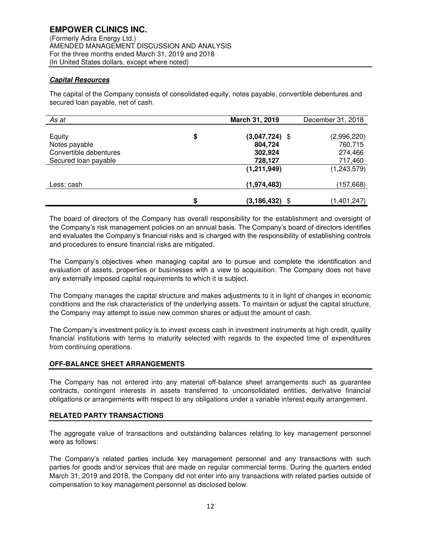# **Capital Resources**

The capital of the Company consists of consolidated equity, notes payable, convertible debentures and secured loan payable, net of cash.

| As at                  | March 31, 2019     | December 31, 2018 |
|------------------------|--------------------|-------------------|
|                        |                    |                   |
| \$<br>Equity           | $(3,047,724)$ \$   | (2,996,220)       |
| Notes payable          | 804,724            | 760,715           |
| Convertible debentures | 302,924            | 274,466           |
| Secured loan payable   | 728,127            | 717,460           |
|                        | (1, 211, 949)      | (1,243,579)       |
| Less: cash             | (1,974,483)        | (157,668)         |
| \$                     | $(3, 186, 432)$ \$ | (1,401,247)       |

The board of directors of the Company has overall responsibility for the establishment and oversight of the Company's risk management policies on an annual basis. The Company's board of directors identifies and evaluates the Company's financial risks and is charged with the responsibility of establishing controls and procedures to ensure financial risks are mitigated.

The Company's objectives when managing capital are to pursue and complete the identification and evaluation of assets, properties or businesses with a view to acquisition. The Company does not have any externally imposed capital requirements to which it is subject.

The Company manages the capital structure and makes adjustments to it in light of changes in economic conditions and the risk characteristics of the underlying assets. To maintain or adjust the capital structure, the Company may attempt to issue new common shares or adjust the amount of cash.

The Company's investment policy is to invest excess cash in investment instruments at high credit, quality financial institutions with terms to maturity selected with regards to the expected time of expenditures from continuing operations.

# **OFF-BALANCE SHEET ARRANGEMENTS**

The Company has not entered into any material off-balance sheet arrangements such as guarantee contracts, contingent interests in assets transferred to unconsolidated entities, derivative financial obligations or arrangements with respect to any obligations under a variable interest equity arrangement.

### **RELATED PARTY TRANSACTIONS**

The aggregate value of transactions and outstanding balances relating to key management personnel were as follows:

The Company's related parties include key management personnel and any transactions with such parties for goods and/or services that are made on regular commercial terms. During the quarters ended March 31, 2019 and 2018, the Company did not enter into any transactions with related parties outside of compensation to key management personnel as disclosed below.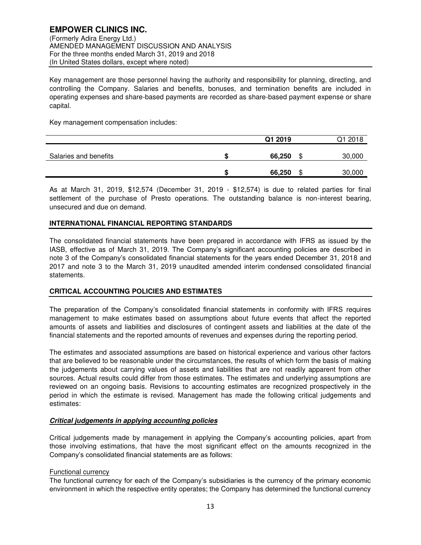Key management are those personnel having the authority and responsibility for planning, directing, and controlling the Company. Salaries and benefits, bonuses, and termination benefits are included in operating expenses and share-based payments are recorded as share-based payment expense or share capital.

Key management compensation includes:

|                       | Q1 2019 | Q1 2018 |
|-----------------------|---------|---------|
| Salaries and benefits | 66,250  | 30,000  |
|                       | 66,250  | 30,000  |

As at March 31, 2019, \$12,574 (December 31, 2019 - \$12,574) is due to related parties for final settlement of the purchase of Presto operations. The outstanding balance is non-interest bearing, unsecured and due on demand.

# **INTERNATIONAL FINANCIAL REPORTING STANDARDS**

The consolidated financial statements have been prepared in accordance with IFRS as issued by the IASB, effective as of March 31, 2019. The Company's significant accounting policies are described in note 3 of the Company's consolidated financial statements for the years ended December 31, 2018 and 2017 and note 3 to the March 31, 2019 unaudited amended interim condensed consolidated financial statements.

### **CRITICAL ACCOUNTING POLICIES AND ESTIMATES**

The preparation of the Company's consolidated financial statements in conformity with IFRS requires management to make estimates based on assumptions about future events that affect the reported amounts of assets and liabilities and disclosures of contingent assets and liabilities at the date of the financial statements and the reported amounts of revenues and expenses during the reporting period.

The estimates and associated assumptions are based on historical experience and various other factors that are believed to be reasonable under the circumstances, the results of which form the basis of making the judgements about carrying values of assets and liabilities that are not readily apparent from other sources. Actual results could differ from those estimates. The estimates and underlying assumptions are reviewed on an ongoing basis. Revisions to accounting estimates are recognized prospectively in the period in which the estimate is revised. Management has made the following critical judgements and estimates:

### **Critical judgements in applying accounting policies**

Critical judgements made by management in applying the Company's accounting policies, apart from those involving estimations, that have the most significant effect on the amounts recognized in the Company's consolidated financial statements are as follows:

### Functional currency

The functional currency for each of the Company's subsidiaries is the currency of the primary economic environment in which the respective entity operates; the Company has determined the functional currency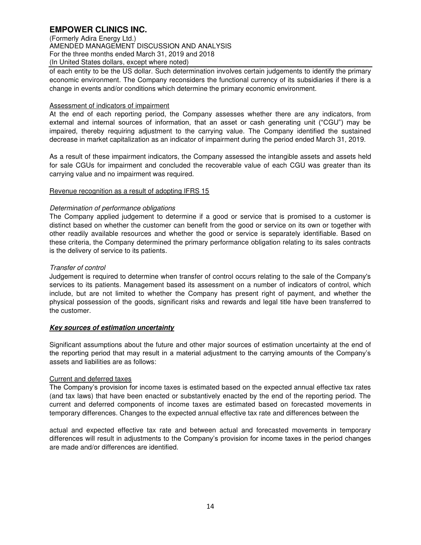# **EMPOWER CLINICS INC.**

(Formerly Adira Energy Ltd.) AMENDED MANAGEMENT DISCUSSION AND ANALYSIS For the three months ended March 31, 2019 and 2018 (In United States dollars, except where noted)

of each entity to be the US dollar. Such determination involves certain judgements to identify the primary economic environment. The Company reconsiders the functional currency of its subsidiaries if there is a change in events and/or conditions which determine the primary economic environment.

# Assessment of indicators of impairment

At the end of each reporting period, the Company assesses whether there are any indicators, from external and internal sources of information, that an asset or cash generating unit ("CGU") may be impaired, thereby requiring adjustment to the carrying value. The Company identified the sustained decrease in market capitalization as an indicator of impairment during the period ended March 31, 2019.

As a result of these impairment indicators, the Company assessed the intangible assets and assets held for sale CGUs for impairment and concluded the recoverable value of each CGU was greater than its carrying value and no impairment was required.

# Revenue recognition as a result of adopting IFRS 15

# Determination of performance obligations

The Company applied judgement to determine if a good or service that is promised to a customer is distinct based on whether the customer can benefit from the good or service on its own or together with other readily available resources and whether the good or service is separately identifiable. Based on these criteria, the Company determined the primary performance obligation relating to its sales contracts is the delivery of service to its patients.

# Transfer of control

Judgement is required to determine when transfer of control occurs relating to the sale of the Company's services to its patients. Management based its assessment on a number of indicators of control, which include, but are not limited to whether the Company has present right of payment, and whether the physical possession of the goods, significant risks and rewards and legal title have been transferred to the customer.

# **Key sources of estimation uncertainty**

Significant assumptions about the future and other major sources of estimation uncertainty at the end of the reporting period that may result in a material adjustment to the carrying amounts of the Company's assets and liabilities are as follows:

### Current and deferred taxes

The Company's provision for income taxes is estimated based on the expected annual effective tax rates (and tax laws) that have been enacted or substantively enacted by the end of the reporting period. The current and deferred components of income taxes are estimated based on forecasted movements in temporary differences. Changes to the expected annual effective tax rate and differences between the

actual and expected effective tax rate and between actual and forecasted movements in temporary differences will result in adjustments to the Company's provision for income taxes in the period changes are made and/or differences are identified.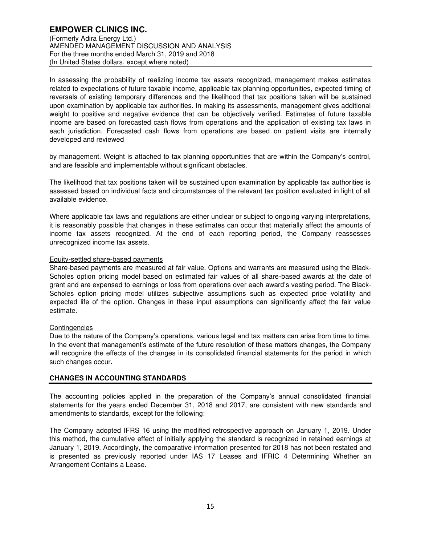In assessing the probability of realizing income tax assets recognized, management makes estimates related to expectations of future taxable income, applicable tax planning opportunities, expected timing of reversals of existing temporary differences and the likelihood that tax positions taken will be sustained upon examination by applicable tax authorities. In making its assessments, management gives additional weight to positive and negative evidence that can be objectively verified. Estimates of future taxable income are based on forecasted cash flows from operations and the application of existing tax laws in each jurisdiction. Forecasted cash flows from operations are based on patient visits are internally developed and reviewed

by management. Weight is attached to tax planning opportunities that are within the Company's control, and are feasible and implementable without significant obstacles.

The likelihood that tax positions taken will be sustained upon examination by applicable tax authorities is assessed based on individual facts and circumstances of the relevant tax position evaluated in light of all available evidence.

Where applicable tax laws and regulations are either unclear or subject to ongoing varying interpretations, it is reasonably possible that changes in these estimates can occur that materially affect the amounts of income tax assets recognized. At the end of each reporting period, the Company reassesses unrecognized income tax assets.

# Equity-settled share-based payments

Share-based payments are measured at fair value. Options and warrants are measured using the Black-Scholes option pricing model based on estimated fair values of all share-based awards at the date of grant and are expensed to earnings or loss from operations over each award's vesting period. The Black-Scholes option pricing model utilizes subjective assumptions such as expected price volatility and expected life of the option. Changes in these input assumptions can significantly affect the fair value estimate.

### **Contingencies**

Due to the nature of the Company's operations, various legal and tax matters can arise from time to time. In the event that management's estimate of the future resolution of these matters changes, the Company will recognize the effects of the changes in its consolidated financial statements for the period in which such changes occur.

### **CHANGES IN ACCOUNTING STANDARDS**

The accounting policies applied in the preparation of the Company's annual consolidated financial statements for the years ended December 31, 2018 and 2017, are consistent with new standards and amendments to standards, except for the following:

The Company adopted IFRS 16 using the modified retrospective approach on January 1, 2019. Under this method, the cumulative effect of initially applying the standard is recognized in retained earnings at January 1, 2019. Accordingly, the comparative information presented for 2018 has not been restated and is presented as previously reported under IAS 17 Leases and IFRIC 4 Determining Whether an Arrangement Contains a Lease.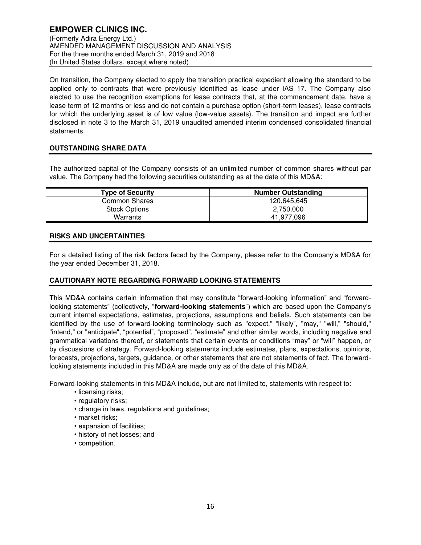On transition, the Company elected to apply the transition practical expedient allowing the standard to be applied only to contracts that were previously identified as lease under IAS 17. The Company also elected to use the recognition exemptions for lease contracts that, at the commencement date, have a lease term of 12 months or less and do not contain a purchase option (short-term leases), lease contracts for which the underlying asset is of low value (low-value assets). The transition and impact are further disclosed in note 3 to the March 31, 2019 unaudited amended interim condensed consolidated financial statements.

# **OUTSTANDING SHARE DATA**

The authorized capital of the Company consists of an unlimited number of common shares without par value. The Company had the following securities outstanding as at the date of this MD&A:

| <b>Type of Security</b> | <b>Number Outstanding</b> |
|-------------------------|---------------------------|
| <b>Common Shares</b>    | 120.645.645               |
| <b>Stock Options</b>    | 2.750.000                 |
| Warrants                | 41.977.096                |

# **RISKS AND UNCERTAINTIES**

For a detailed listing of the risk factors faced by the Company, please refer to the Company's MD&A for the year ended December 31, 2018.

# **CAUTIONARY NOTE REGARDING FORWARD LOOKING STATEMENTS**

This MD&A contains certain information that may constitute "forward-looking information" and "forwardlooking statements" (collectively, "**forward-looking statements**") which are based upon the Company's current internal expectations, estimates, projections, assumptions and beliefs. Such statements can be identified by the use of forward-looking terminology such as "expect," "likely", "may," "will," "should," "intend," or "anticipate", "potential", "proposed", "estimate" and other similar words, including negative and grammatical variations thereof, or statements that certain events or conditions "may" or "will" happen, or by discussions of strategy. Forward-looking statements include estimates, plans, expectations, opinions, forecasts, projections, targets, guidance, or other statements that are not statements of fact. The forwardlooking statements included in this MD&A are made only as of the date of this MD&A.

Forward-looking statements in this MD&A include, but are not limited to, statements with respect to:

- licensing risks;
- regulatory risks;
- change in laws, regulations and guidelines;
- market risks;
- expansion of facilities;
- history of net losses; and
- competition.